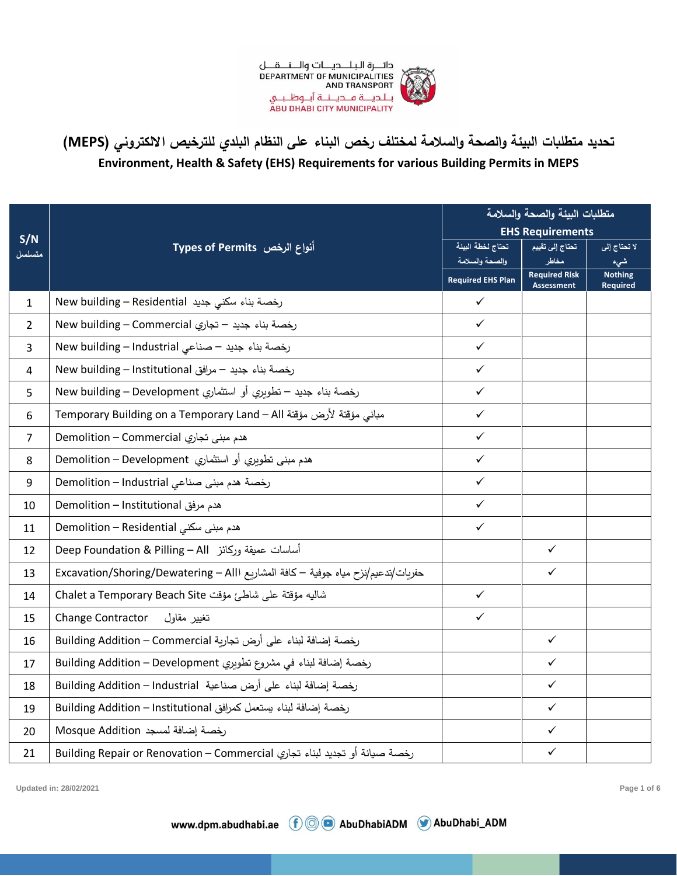

| S/N<br>متسلسل           | أنواع الرخص Types of Permits                                                     | متطلبات البيئة وإلصحة وإلسلامة       |                                           |                                   |
|-------------------------|----------------------------------------------------------------------------------|--------------------------------------|-------------------------------------------|-----------------------------------|
|                         |                                                                                  | <b>EHS Requirements</b>              |                                           |                                   |
|                         |                                                                                  | تحتاج لخطة البيئة<br>والصحة والسلامة | تحتاج إلى تقييم<br>مخاطر                  | لا تحتاج إلى                      |
|                         |                                                                                  | <b>Required EHS Plan</b>             | <b>Required Risk</b><br><b>Assessment</b> | شىء<br><b>Nothing</b><br>Required |
| $\mathbf{1}$            | New building – Residential رخصة بناء سكني جديد                                   | $\checkmark$                         |                                           |                                   |
| $\overline{2}$          | New building – Commercial رخصة بناء جديد – تجارى                                 | $\checkmark$                         |                                           |                                   |
| 3                       | New building - Industrial حديد - صناعى                                           | $\checkmark$                         |                                           |                                   |
| $\overline{\mathbf{4}}$ | New building – Institutional رخصة بناء جديد – مرافق                              | $\checkmark$                         |                                           |                                   |
| 5                       | رخصة بناء جديد – تطويري أو استثماري New building – Development                   | $\checkmark$                         |                                           |                                   |
| 6                       | مبانى مؤقتة لأرض مؤقتة Temporary Building on a Temporary Land – All              | $\checkmark$                         |                                           |                                   |
| $\overline{7}$          | هدم مبنی تجاري Demolition – Commercial                                           | $\checkmark$                         |                                           |                                   |
| 8                       | هدم مبنى تطويري أو استثماري Demolition – Development                             | $\checkmark$                         |                                           |                                   |
| 9                       | رخصة هدم مبنى صناعي Demolition – Industrial                                      | $\checkmark$                         |                                           |                                   |
| 10                      | Aemolition - Institutional هدم مرفق                                              | $\checkmark$                         |                                           |                                   |
| 11                      | Aemolition - Residential هدم مبنی سکنی                                           | $\checkmark$                         |                                           |                                   |
| 12                      | أساسات عميقة وركائز Deep Foundation & Pilling – All                              |                                      | $\checkmark$                              |                                   |
| 13                      | حفريات/تدعيم/نزح مياه جوفية – كافة المشاريع Excavation/Shoring/Dewatering – Alll |                                      | $\checkmark$                              |                                   |
| 14                      | شاليه مؤقتة على شاطئ مؤقت Chalet a Temporary Beach Site                          | $\checkmark$                         |                                           |                                   |
| 15                      | Change Contractor<br>تغيير مقاول                                                 | $\checkmark$                         |                                           |                                   |
| 16                      | رخصة إضافة لبناء على أرض تجارية Building Addition – Commercial                   |                                      | $\checkmark$                              |                                   |
| 17                      | رخصة إضافة لبناء في مشروع تطويري Building Addition - Development                 |                                      | $\checkmark$                              |                                   |
| 18                      | رخصة إضافة لبناء على أرض صناعية Building Addition – Industrial                   |                                      | $\checkmark$                              |                                   |
| 19                      | رخصة إضافة لبناء يستعمل كمرافق Building Addition – Institutional                 |                                      | $\checkmark$                              |                                   |
| 20                      | Mosque Addition رخصة إضافة لمسجد                                                 |                                      | $\checkmark$                              |                                   |
| 21                      | رخصة صيانة أو تجديد لبناء تجاري Building Repair or Renovation – Commercial       |                                      | $\checkmark$                              |                                   |

**Updated in: 28/02/2021 Page 1 of 6**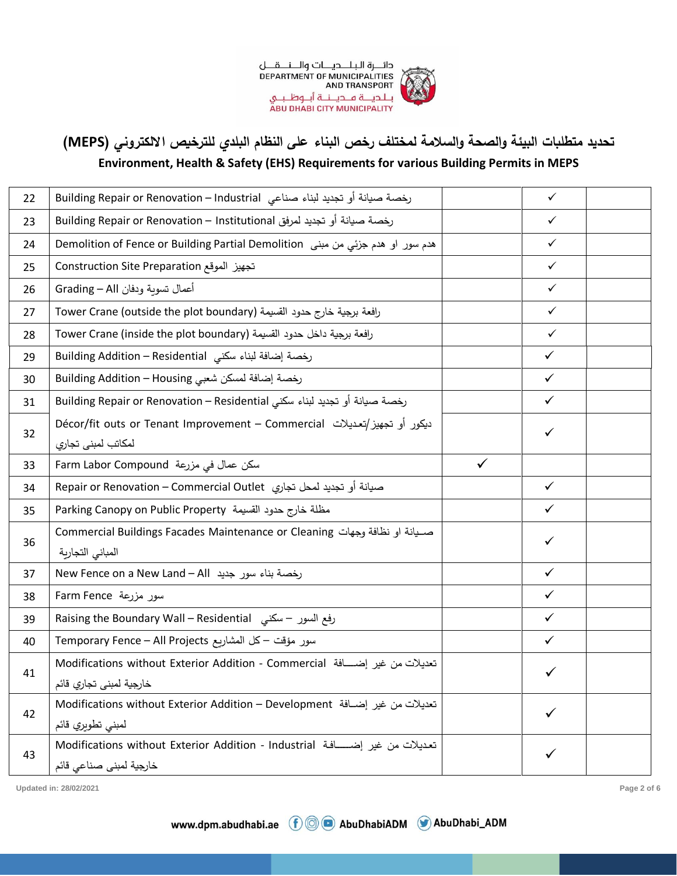

## **تحديد متطلبات البيئة والصحة والسالمة لمختلف رخص البناء على النظام البلدي للترخيص االلكتروني ) MEPS )**

## **Environment, Health & Safety (EHS) Requirements for various Building Permits in MEPS**

| 22 | رخصة صيانة أو تجديد لبناء صناعي  Building Repair or Renovation – Industrial                             |              | $\checkmark$ |  |
|----|---------------------------------------------------------------------------------------------------------|--------------|--------------|--|
| 23 | رخصة صيانة أو تجديد لمرفق Building Repair or Renovation – Institutional                                 |              | $\checkmark$ |  |
| 24 | هدم سور او هدم جزئي من مبنى Demolition of Fence or Building Partial Demolition                          |              | $\checkmark$ |  |
| 25 | تجهيز الموقع Construction Site Preparation                                                              |              | $\checkmark$ |  |
| 26 | أعمال تسوية ودفان Grading – All                                                                         |              | $\checkmark$ |  |
| 27 | رافعة برجية خارج حدود القسيمة (Tower Crane (outside the plot boundary                                   |              | $\checkmark$ |  |
| 28 | رافعة برجية داخل حدود القسيمة (Tower Crane (inside the plot boundary                                    |              | $\checkmark$ |  |
| 29 | رخصة إضافة لبناء سكني Building Addition – Residential                                                   |              | $\checkmark$ |  |
| 30 | رخصة إضافة لمسكن شعبي Building Addition – Housing                                                       |              | $\checkmark$ |  |
| 31 | رخصة صيانة أو تجديد لبناء سكني Building Repair or Renovation – Residential                              |              | $\checkmark$ |  |
| 32 | دیکور أو تجهیز/تعدیلات Décor/fit outs or Tenant Improvement – Commercial<br>لمكاتب لمبنى تجاري          |              | ✓            |  |
| 33 | Farm Labor Compound می مزرعة                                                                            | $\checkmark$ |              |  |
| 34 | صيانة أو تجديد لمحل تجاري  Repair or Renovation – Commercial Outlet                                     |              | $\checkmark$ |  |
| 35 | Parking Canopy on Public Property مظلة خارج حدود القسيمة Parking Canopy on Public                       |              | $\checkmark$ |  |
| 36 | صوانة او نظافة وجهات Commercial Buildings Facades Maintenance or Cleaning<br>المبانى التجارية           |              | ✓            |  |
| 37 | New Fence on a New Land - All رخصة بناء سور جديد                                                        |              | $\checkmark$ |  |
| 38 | سور مزرعة Farm Fence                                                                                    |              | $\checkmark$ |  |
| 39 | رفع السور – سكني   Raising the Boundary Wall – Residential                                              |              | $\checkmark$ |  |
| 40 | سور مؤقت – كل المشاريع Temporary Fence – All Projects                                                   |              | $\checkmark$ |  |
| 41 | تعديلات من غير إضـافة Modifications without Exterior Addition - Commercial<br>خارجية لمبنى تجاري قائم   |              |              |  |
| 42 | تعديلات من غير إضـافة Modifications without Exterior Addition – Development<br>لمبنى تطويري قائم        |              | ✓            |  |
| 43 | تعديلات من غير إضـــافة Modifications without Exterior Addition - Industrial<br>خارجية لمبنى صناعى قائم |              | ✓            |  |

**Updated in: 28/02/2021 Page 2 of 6**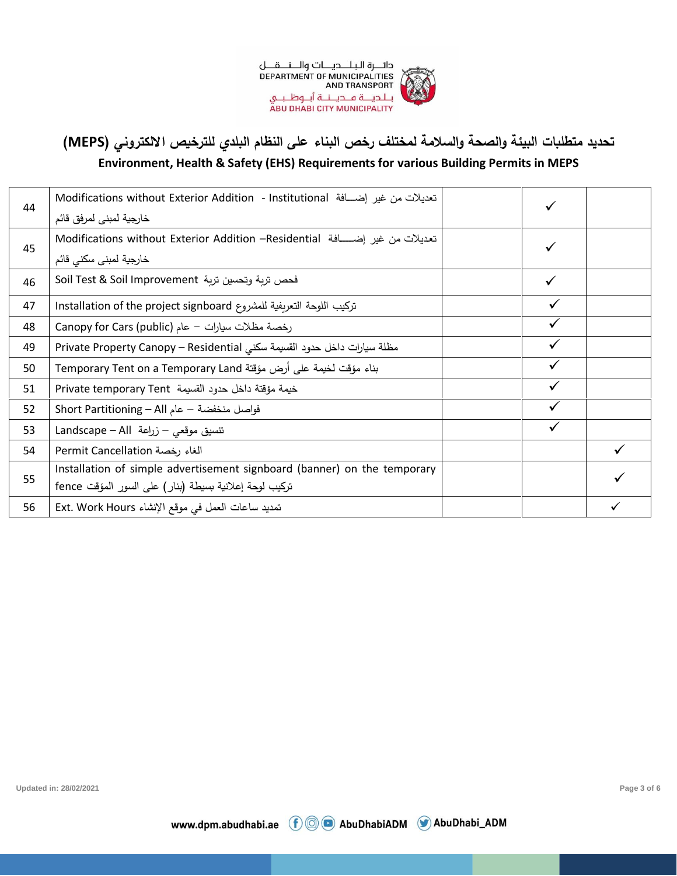

**تحديد متطلبات البيئة والصحة والسالمة لمختلف رخص البناء على النظام البلدي للترخيص االلكتروني ) MEPS )**

## **Environment, Health & Safety (EHS) Requirements for various Building Permits in MEPS**

| 44 | تعديلات من غير إضـــافة Modifications without Exterior Addition  - Institutional |              |  |
|----|----------------------------------------------------------------------------------|--------------|--|
|    | خارجية لمبنى لمرفق قائم                                                          |              |  |
| 45 | تعديلات من غير إضـــــافة Modifications without Exterior Addition –Residential   |              |  |
|    | خارجية لمبنى سكنى قائم                                                           |              |  |
| 46 | فحص تربة وتحسين تربة Soil Test & Soil Improvement                                |              |  |
| 47 | تركيب اللوحة التعريفية للمشروع Installation of the project signboard             | $\checkmark$ |  |
| 48 | Canopy for Cars (public) - عام (Canopy for Cars                                  |              |  |
| 49 | مظلة سيارات داخل حدود القسيمة سكنى Private Property Canopy – Residential         |              |  |
| 50 | بناء مؤقت لخيمة على أرض مؤقتة Temporary Tent on a Temporary Land                 | $\checkmark$ |  |
| 51 | خيمة مؤقتة داخل حدود القسيمة Private temporary Tent                              | $\checkmark$ |  |
| 52 | فواصل منخفضة – عام Short Partitioning – All                                      |              |  |
| 53 | تتسيق موقعي - زراعة Landscape - All                                              | $\checkmark$ |  |
| 54 | Permit Cancellation الغاء رخصة                                                   |              |  |
| 55 | Installation of simple advertisement signboard (banner) on the temporary         |              |  |
|    | تركيب لوحة إعلانية بسيطة (بنار) على السور المؤقت fence                           |              |  |
| 56 | تمديد ساعات العمل في موقع الإنشاء Ext. Work Hours                                |              |  |

www.dpm.abudhabi.ae ( O AbuDhabiADM C AbuDhabi\_ADM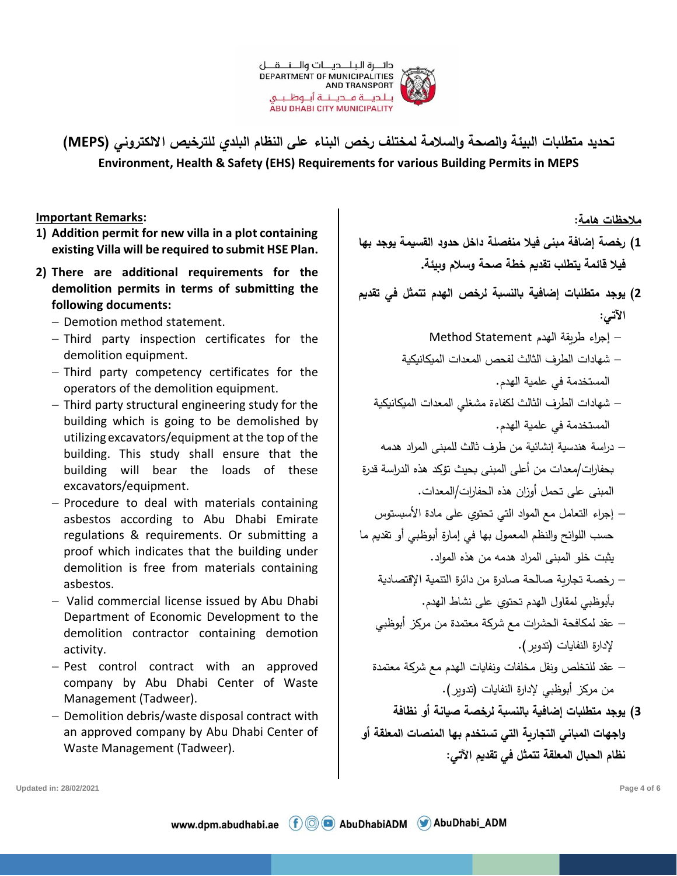

**Important Remarks:**

- **1) Addition permit for new villa in a plot containing existing Villa will be required to submit HSE Plan.**
- **2) There are additional requirements for the demolition permits in terms of submitting the following documents:**
	- − Demotion method statement.
	- − Third party inspection certificates for the demolition equipment.
	- − Third party competency certificates for the operators of the demolition equipment.
	- − Third party structural engineering study for the building which is going to be demolished by utilizing excavators/equipment at the top of the building. This study shall ensure that the building will bear the loads of these excavators/equipment.
	- − Procedure to deal with materials containing asbestos according to Abu Dhabi Emirate regulations & requirements. Or submitting a proof which indicates that the building under demolition is free from materials containing asbestos.
	- − Valid commercial license issued by Abu Dhabi Department of Economic Development to the demolition contractor containing demotion activity.
	- − Pest control contract with an approved company by Abu Dhabi Center of Waste Management (Tadweer).
	- − Demolition debris/waste disposal contract with an approved company by Abu Dhabi Center of Waste Management (Tadweer).

**1( رخصة إضافة مبنى فيال منفصلة داخل حدود القسيمة يوجد بها فيال قائمة يتطلب تقديم خطة صحة وسالم وبيئة. 2( يوجد متطلبات إضافية بالنسبة لرخص الهدم ت تمثل في تقديم اآلتي:**  − إجراء طريقة الهدم Statement Method − شهادات الطرف الثالث لفحص المعدات الميكانيكية المستخدمة في علمية الهدم. − شهادات الطرف الثالث لكفاءة مشغلي المعدات الميكانيكية المستخدمة في علمية الهدم. − در اسة هندسية إنشائية من طرف ثالث للمبنى المراد هدمه بحفارات/معدات من أعلى المبنى بحيث تؤكد هذه الدراسة قدرة

**مالحظات هامة:**

- المبنى على تحمل أوزان هذه الحفارات/المعدات. − إجراء التعامل مع المواد التي تحتوي على مادة األسبستوس حسب اللوائح والنظم المعمول بها في إمارة أبوظبي أو تقديم ما يثبت خلو المبنى المراد هدمه من هذه المواد.
	- − رخصة تجارية صالحة صادرة من دائرة التنمية اإلقتصادية بأبوظبي لمقاول الهدم تحتوي على نشاط الهدم.
	- − عقد لمكافحة الحشرات مع شركة معتمدة من مركز أبوظبي إلدارة النفايات )تدوير(.
	- − عقد للتخلص و نقل مخلفات ونفايات الهدم مع شركة معتمدة من مركز أبوظبي لإدارة النفايات (تدوير).
- **3( يوجد متطلبات إضافية بالنسبة لرخصة صيانة أ و نظافة واجهات المباني التجارية التي تستخدم بها المنصات المعلقة أ و نظام الحبال المعلقة تتمثل في تقديم اآلتي:**

**Updated in: 28/02/2021 Page 4 of 6**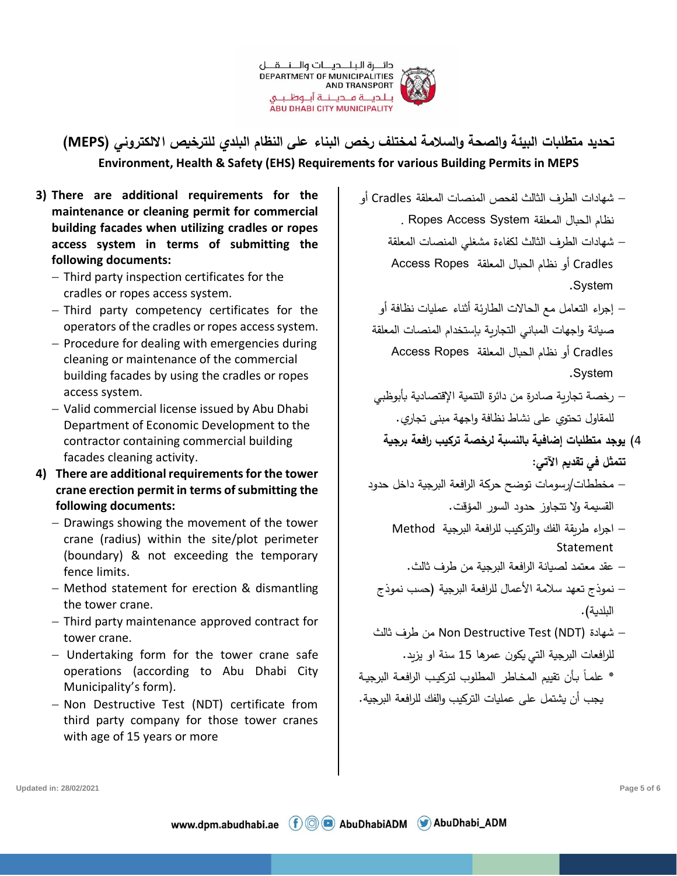

- **3) There are additional requirements for the maintenance or cleaning permit for commercial building facades when utilizing cradles or ropes access system in terms of submitting the following documents:**
	- − Third party inspection certificates for the cradles or ropes access system.
	- − Third party competency certificates for the operators of the cradles or ropes access system.
	- − Procedure for dealing with emergencies during cleaning or maintenance of the commercial building facades by using the cradles or ropes access system.
	- − Valid commercial license issued by Abu Dhabi Department of Economic Development to the contractor containing commercial building facades cleaning activity.
- **4) There are additional requirements for the tower crane erection permit in terms of submitting the following documents:**
	- − Drawings showing the movement of the tower crane (radius) within the site/plot perimeter (boundary) & not exceeding the temporary fence limits.
	- − Method statement for erection & dismantling the tower crane.
	- − Third party maintenance approved contract for tower crane.
	- − Undertaking form for the tower crane safe operations (according to Abu Dhabi City Municipality's form).
	- − Non Destructive Test (NDT) certificate from third party company for those tower cranes with age of 15 years or more

− شهادات الطرف الثالث لفحص المنصات المعلقة Cradles أو نظام الحبال المعلقة System Access Ropes .

> − شهادات الطرف الثالث لكفاءة مشغلي المنصات المعلقة Cradles أو نظام الحبال المعلقة Ropes Access .System

- − إجراء التعامل مع الحاالت الطارئة أثناء عمليات نظافة أو صبيانة واجهات المباني التجارية بإستخدام المنصبات المعلقة Cradles أو نظام الحبال المعلقة Ropes Access .System
- − رخصة تجارية صادرة من دائرة التنمية اإلقتصادية بأبوظبي للمقاول تحتوي على نشاط نظافة واجهة مبنى تجاري.
	- 4( **يوجد متطلبات إضافية بالنسبة لرخصة تركيب رافعة برجية تتمثل في تقديم اآلتي :**
- − مخططات/رسومات توضح حركة الرافعة البرجية داخل حدود القسيمة وال تتجاوز حدود السور المؤقت.
	- − اجراء طريقة الفك والتركيب للرافعة البرجية Method Statement
		- − عقد معتمد لصيانة الرافعة البرجية من طرف ثالث.
- − نموذج تعهد سلامة الأعمال للرافعة البرجية (حسب نموذج البلدية).
- − شهادة (NDT (Test Destructive Non من طرف ثالث للر افعات البرجية التي يكون عمرها 15 سنة او يزيد.
- \* علمـاً بـأن تقييم المخاطر المطلوب لتركيب الرافعـة البرجيـة يجب أن يشتمل على عمليات التركيب والفك للرافعة البرجية.

**Updated in: 28/02/2021 Page 5 of 6**